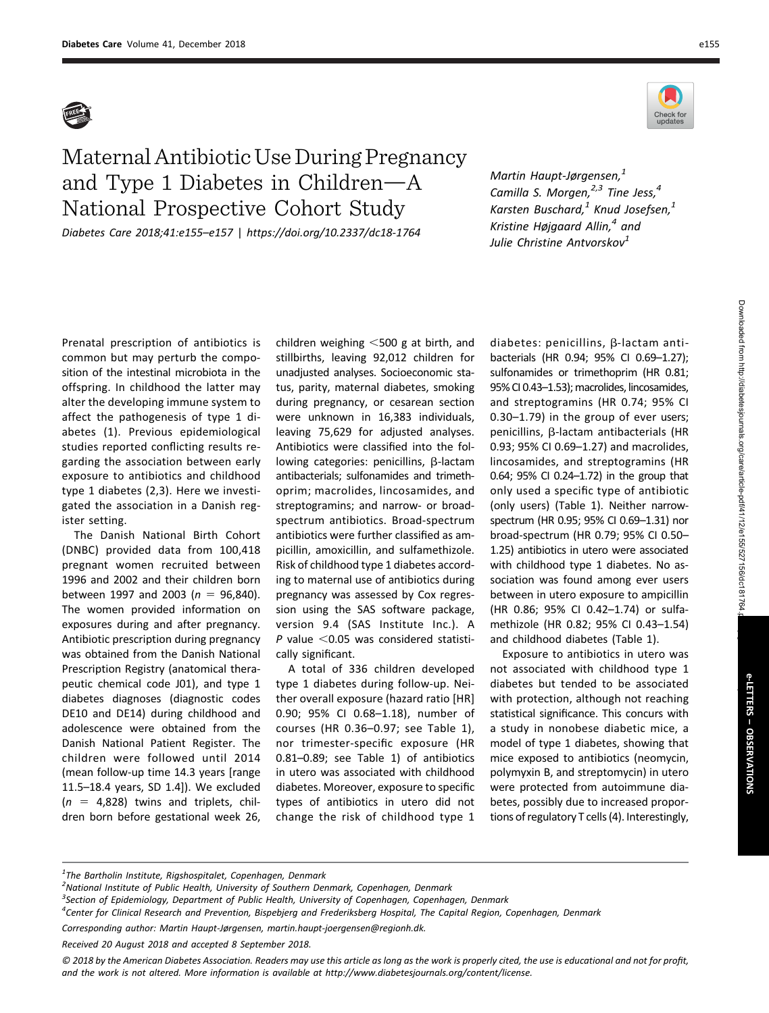



## Maternal Antibiotic UseDuring Pregnancy and Type 1 Diabetes in Children $-A$ National Prospective Cohort Study

Diabetes Care 2018;41:e155–e157 | <https://doi.org/10.2337/dc18-1764>

Martin Haupt-Jørgensen,<sup>1</sup> Camilla S. Morgen, $2,3$  Tine Jess, $4$ Karsten Buschard, $1$  Knud Josefsen, $1$ Kristine Højgaard Allin, $4$  and Julie Christine Antvorskov<sup>1</sup>

Prenatal prescription of antibiotics is common but may perturb the composition of the intestinal microbiota in the offspring. In childhood the latter may alter the developing immune system to affect the pathogenesis of type 1 diabetes (1). Previous epidemiological studies reported conflicting results regarding the association between early exposure to antibiotics and childhood type 1 diabetes (2,3). Here we investigated the association in a Danish register setting.

The Danish National Birth Cohort (DNBC) provided data from 100,418 pregnant women recruited between 1996 and 2002 and their children born between 1997 and 2003 ( $n = 96,840$ ). The women provided information on exposures during and after pregnancy. Antibiotic prescription during pregnancy was obtained from the Danish National Prescription Registry (anatomical therapeutic chemical code J01), and type 1 diabetes diagnoses (diagnostic codes DE10 and DE14) during childhood and adolescence were obtained from the Danish National Patient Register. The children were followed until 2014 (mean follow-up time 14.3 years [range 11.5–18.4 years, SD 1.4]). We excluded  $(n = 4,828)$  twins and triplets, children born before gestational week 26,

children weighing  $<$ 500 g at birth, and stillbirths, leaving 92,012 children for unadjusted analyses. Socioeconomic status, parity, maternal diabetes, smoking during pregnancy, or cesarean section were unknown in 16,383 individuals, leaving 75,629 for adjusted analyses. Antibiotics were classified into the following categories: penicillins,  $\beta$ -lactam antibacterials; sulfonamides and trimethoprim; macrolides, lincosamides, and streptogramins; and narrow- or broadspectrum antibiotics. Broad-spectrum antibiotics were further classified as ampicillin, amoxicillin, and sulfamethizole. Risk of childhood type 1 diabetes according to maternal use of antibiotics during pregnancy was assessed by Cox regression using the SAS software package, version 9.4 (SAS Institute Inc.). A P value  $<$  0.05 was considered statistically significant.

A total of 336 children developed type 1 diabetes during follow-up. Neither overall exposure (hazard ratio [HR] 0.90; 95% CI 0.68–1.18), number of courses (HR 0.36–0.97; see Table 1), nor trimester-specific exposure (HR 0.81–0.89; see Table 1) of antibiotics in utero was associated with childhood diabetes. Moreover, exposure to specific types of antibiotics in utero did not change the risk of childhood type 1 diabetes: penicillins,  $\beta$ -lactam antibacterials (HR 0.94; 95% CI 0.69–1.27); sulfonamides or trimethoprim (HR 0.81; 95% CI 0.43–1.53); macrolides, lincosamides, and streptogramins (HR 0.74; 95% CI 0.30–1.79) in the group of ever users;  $penicillins, \beta$ -lactam antibacterials (HR 0.93; 95% CI 0.69–1.27) and macrolides, lincosamides, and streptogramins (HR 0.64; 95% CI 0.24–1.72) in the group that only used a specific type of antibiotic (only users) (Table 1). Neither narrowspectrum (HR 0.95; 95% CI 0.69–1.31) nor broad-spectrum (HR 0.79; 95% CI 0.50– 1.25) antibiotics in utero were associated with childhood type 1 diabetes. No association was found among ever users between in utero exposure to ampicillin (HR 0.86; 95% CI 0.42–1.74) or sulfamethizole (HR 0.82; 95% CI 0.43–1.54) and childhood diabetes (Table 1).

Exposure to antibiotics in utero was not associated with childhood type 1 diabetes but tended to be associated with protection, although not reaching statistical significance. This concurs with a study in nonobese diabetic mice, a model of type 1 diabetes, showing that mice exposed to antibiotics (neomycin, polymyxin B, and streptomycin) in utero were protected from autoimmune diabetes, possibly due to increased proportions of regulatory T cells (4). Interestingly,

- <sup>2</sup> National Institute of Public Health, University of Southern Denmark, Copenhagen, Denmark
- <sup>3</sup>Section of Epidemiology, Department of Public Health, University of Copenhagen, Copenhagen, Denmark
- 4 Center for Clinical Research and Prevention, Bispebjerg and Frederiksberg Hospital, The Capital Region, Copenhagen, Denmark

Received 20 August 2018 and accepted 8 September 2018.

Downloaded from http://diabetesjournals.org/care/article-pdf/41/12/e155/527156/dc181764 Downloaded from http://diabetesjournals.org/care/article-pdf/41/12/e155/527156/dc181764.pdf by guest on 01 July 2022

 $^{1}$ The Bartholin Institute, Rigshospitalet, Copenhagen, Denmark

Corresponding author: Martin Haupt-Jørgensen, [martin.haupt-joergensen@regionh.dk](mailto:martin.haupt-joergensen@regionh.dk).

<sup>© 2018</sup> by the American Diabetes Association. Readers may use this article as long as the work is properly cited, the use is educational and not for profit, and the work is not altered. More information is available at<http://www.diabetesjournals.org/content/license>.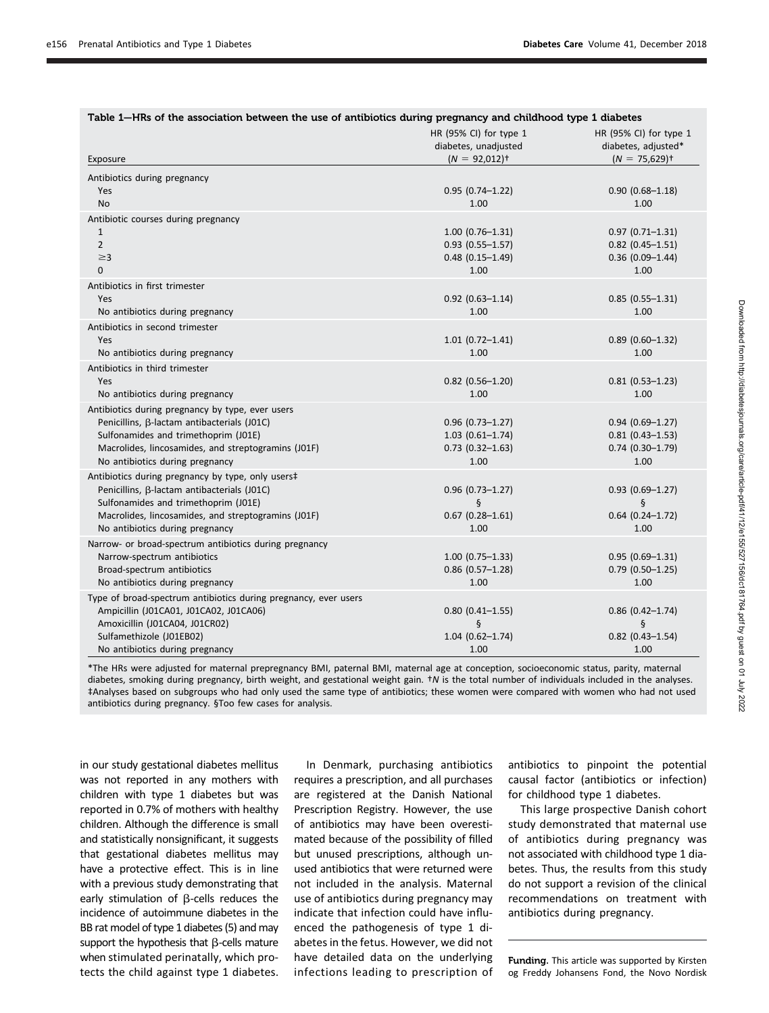| Table 1–HRs of the association between the use of antibiotics during pregnancy and childhood type 1 diabetes |                                                                               |                                                                              |
|--------------------------------------------------------------------------------------------------------------|-------------------------------------------------------------------------------|------------------------------------------------------------------------------|
| Exposure                                                                                                     | HR (95% CI) for type 1<br>diabetes, unadjusted<br>$(N = 92,012)$ <sup>+</sup> | HR (95% CI) for type 1<br>diabetes, adjusted*<br>$(N = 75,629)$ <sup>+</sup> |
| Antibiotics during pregnancy                                                                                 |                                                                               |                                                                              |
| <b>Yes</b>                                                                                                   | $0.95(0.74 - 1.22)$                                                           | $0.90(0.68 - 1.18)$                                                          |
| <b>No</b>                                                                                                    | 1.00                                                                          | 1.00                                                                         |
| Antibiotic courses during pregnancy                                                                          |                                                                               |                                                                              |
| $\mathbf{1}$                                                                                                 | $1.00(0.76 - 1.31)$                                                           | $0.97(0.71 - 1.31)$                                                          |
| $\overline{2}$                                                                                               | $0.93$ (0.55-1.57)                                                            | $0.82$ (0.45-1.51)                                                           |
| $\geq$ 3                                                                                                     | $0.48(0.15 - 1.49)$                                                           | $0.36$ (0.09-1.44)                                                           |
| $\Omega$                                                                                                     | 1.00                                                                          | 1.00                                                                         |
| Antibiotics in first trimester                                                                               |                                                                               |                                                                              |
| Yes                                                                                                          | $0.92$ (0.63-1.14)                                                            | $0.85(0.55-1.31)$                                                            |
| No antibiotics during pregnancy                                                                              | 1.00                                                                          | 1.00                                                                         |
| Antibiotics in second trimester                                                                              |                                                                               |                                                                              |
| Yes                                                                                                          | $1.01(0.72 - 1.41)$                                                           | $0.89(0.60-1.32)$                                                            |
| No antibiotics during pregnancy                                                                              | 1.00                                                                          | 1.00                                                                         |
| Antibiotics in third trimester                                                                               |                                                                               |                                                                              |
| Yes                                                                                                          | $0.82$ (0.56-1.20)                                                            | $0.81(0.53 - 1.23)$                                                          |
| No antibiotics during pregnancy                                                                              | 1.00                                                                          | 1.00                                                                         |
| Antibiotics during pregnancy by type, ever users                                                             |                                                                               |                                                                              |
| Penicillins, B-lactam antibacterials (J01C)                                                                  | $0.96(0.73 - 1.27)$                                                           | $0.94(0.69 - 1.27)$                                                          |
| Sulfonamides and trimethoprim (J01E)                                                                         | $1.03(0.61 - 1.74)$                                                           | $0.81$ (0.43-1.53)                                                           |
| Macrolides, lincosamides, and streptogramins (J01F)                                                          | $0.73$ $(0.32 - 1.63)$                                                        | $0.74$ (0.30-1.79)                                                           |
| No antibiotics during pregnancy                                                                              | 1.00                                                                          | 1.00                                                                         |
| Antibiotics during pregnancy by type, only users#                                                            |                                                                               |                                                                              |
| Penicillins, B-lactam antibacterials (J01C)                                                                  | $0.96(0.73 - 1.27)$                                                           | $0.93(0.69 - 1.27)$                                                          |
| Sulfonamides and trimethoprim (J01E)                                                                         | ş                                                                             | ş                                                                            |
| Macrolides, lincosamides, and streptogramins (J01F)                                                          | $0.67(0.28 - 1.61)$                                                           | $0.64$ (0.24-1.72)                                                           |
| No antibiotics during pregnancy                                                                              | 1.00                                                                          | 1.00                                                                         |
| Narrow- or broad-spectrum antibiotics during pregnancy                                                       |                                                                               |                                                                              |
| Narrow-spectrum antibiotics                                                                                  | $1.00(0.75 - 1.33)$                                                           | $0.95(0.69-1.31)$                                                            |
| Broad-spectrum antibiotics                                                                                   | $0.86$ (0.57-1.28)<br>1.00                                                    | $0.79$ (0.50-1.25)<br>1.00                                                   |
| No antibiotics during pregnancy                                                                              |                                                                               |                                                                              |
| Type of broad-spectrum antibiotics during pregnancy, ever users                                              |                                                                               |                                                                              |
| Ampicillin (J01CA01, J01CA02, J01CA06)<br>Amoxicillin (J01CA04, J01CR02)                                     | $0.80$ (0.41-1.55)<br>ş                                                       | $0.86$ (0.42-1.74)<br>$\S$                                                   |
| Sulfamethizole (J01EB02)                                                                                     | $1.04(0.62 - 1.74)$                                                           | $0.82$ (0.43-1.54)                                                           |
| No antibiotics during pregnancy                                                                              | 1.00                                                                          | 1.00                                                                         |
|                                                                                                              |                                                                               |                                                                              |

\*The HRs were adjusted for maternal prepregnancy BMI, paternal BMI, maternal age at conception, socioeconomic status, parity, maternal diabetes, smoking during pregnancy, birth weight, and gestational weight gain.  $\dagger N$  is the total number of individuals included in the analyses. ‡Analyses based on subgroups who had only used the same type of antibiotics; these women were compared with women who had not used antibiotics during pregnancy. §Too few cases for analysis.

in our study gestational diabetes mellitus was not reported in any mothers with children with type 1 diabetes but was reported in 0.7% of mothers with healthy children. Although the difference is small and statistically nonsignificant, it suggests that gestational diabetes mellitus may have a protective effect. This is in line with a previous study demonstrating that early stimulation of  $\beta$ -cells reduces the incidence of autoimmune diabetes in the BB rat model of type 1 diabetes (5) and may support the hypothesis that  $\beta$ -cells mature when stimulated perinatally, which protects the child against type 1 diabetes.

In Denmark, purchasing antibiotics requires a prescription, and all purchases are registered at the Danish National Prescription Registry. However, the use of antibiotics may have been overestimated because of the possibility of filled but unused prescriptions, although unused antibiotics that were returned were not included in the analysis. Maternal use of antibiotics during pregnancy may indicate that infection could have influenced the pathogenesis of type 1 diabetes in the fetus. However, we did not have detailed data on the underlying infections leading to prescription of

antibiotics to pinpoint the potential causal factor (antibiotics or infection) for childhood type 1 diabetes.

This large prospective Danish cohort study demonstrated that maternal use of antibiotics during pregnancy was not associated with childhood type 1 diabetes. Thus, the results from this study do not support a revision of the clinical recommendations on treatment with antibiotics during pregnancy.

Funding. This article was supported by Kirsten og Freddy Johansens Fond, the Novo Nordisk